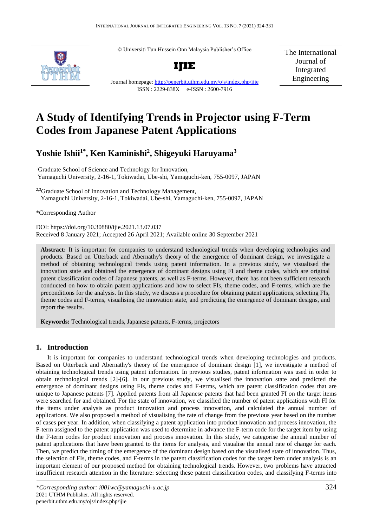© Universiti Tun Hussein Onn Malaysia Publisher's Office



**IJIE**

The International Journal of Integrated Engineering

Journal homepage:<http://penerbit.uthm.edu.my/ojs/index.php/ijie> ISSN : 2229-838X e-ISSN : 2600-7916

# **A Study of Identifying Trends in Projector using F-Term Codes from Japanese Patent Applications**

## **Yoshie Ishii1\* , Ken Kaminishi<sup>2</sup> , Shigeyuki Haruyama<sup>3</sup>**

<sup>1</sup>Graduate School of Science and Technology for Innovation, Yamaguchi University, 2-16-1, Tokiwadai, Ube-shi, Yamaguchi-ken, 755-0097, JAPAN

<sup>2,3</sup>Graduate School of Innovation and Technology Management, Yamaguchi University, 2-16-1, Tokiwadai, Ube-shi, Yamaguchi-ken, 755-0097, JAPAN

\*Corresponding Author

DOI: https://doi.org/10.30880/ijie.2021.13.07.037 Received 8 January 2021; Accepted 26 April 2021; Available online 30 September 2021

**Abstract:** It is important for companies to understand technological trends when developing technologies and products. Based on Utterback and Abernathy's theory of the emergence of dominant design, we investigate a method of obtaining technological trends using patent information. In a previous study, we visualised the innovation state and obtained the emergence of dominant designs using FI and theme codes, which are original patent classification codes of Japanese patents, as well as F-terms. However, there has not been sufficient research conducted on how to obtain patent applications and how to select FIs, theme codes, and F-terms, which are the preconditions for the analysis. In this study, we discuss a procedure for obtaining patent applications, selecting FIs, theme codes and F-terms, visualising the innovation state, and predicting the emergence of dominant designs, and report the results.

**Keywords:** Technological trends, Japanese patents, F-terms, projectors

## **1. Introduction**

It is important for companies to understand technological trends when developing technologies and products. Based on Utterback and Abernathy's theory of the emergence of dominant design [1], we investigate a method of obtaining technological trends using patent information. In previous studies, patent information was used in order to obtain technological trends [2]-[6]. In our previous study, we visualised the innovation state and predicted the emergence of dominant designs using FIs, theme codes and F-terms, which are patent classification codes that are unique to Japanese patents [7]. Applied patents from all Japanese patents that had been granted FI on the target items were searched for and obtained. For the state of innovation, we classified the number of patent applications with FI for the items under analysis as product innovation and process innovation, and calculated the annual number of applications. We also proposed a method of visualising the rate of change from the previous year based on the number of cases per year. In addition, when classifying a patent application into product innovation and process innovation, the F-term assigned to the patent application was used to determine in advance the F-term code for the target item by using the F-term codes for product innovation and process innovation. In this study, we categorise the annual number of patent applications that have been granted to the items for analysis, and visualise the annual rate of change for each. Then, we predict the timing of the emergence of the dominant design based on the visualised state of innovation. Thus, the selection of FIs, theme codes, and F-terms in the patent classification codes for the target item under analysis is an important element of our proposed method for obtaining technological trends. However, two problems have attracted insufficient research attention in the literature: selecting these patent classification codes, and classifying F-terms into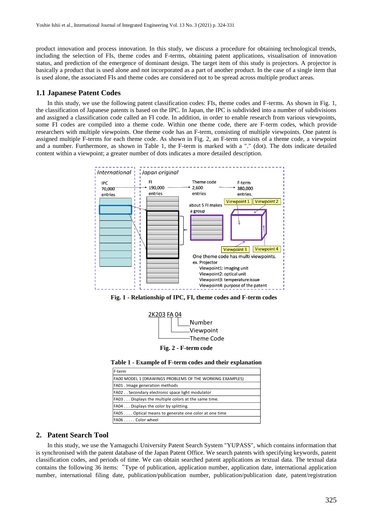product innovation and process innovation. In this study, we discuss a procedure for obtaining technological trends, including the selection of FIs, theme codes and F-terms, obtaining patent applications, visualisation of innovation status, and prediction of the emergence of dominant design. The target item of this study is projectors. A projector is basically a product that is used alone and not incorporated as a part of another product. In the case of a single item that is used alone, the associated FIs and theme codes are considered not to be spread across multiple product areas.

## **1.1 Japanese Patent Codes**

In this study, we use the following patent classification codes: FIs, theme codes and F-terms. As shown in Fig. 1, the classification of Japanese patents is based on the IPC. In Japan, the IPC is subdivided into a number of subdivisions and assigned a classification code called an FI code. In addition, in order to enable research from various viewpoints, some FI codes are compiled into a theme code. Within one theme code, there are F-term codes, which provide researchers with multiple viewpoints. One theme code has an F-term, consisting of multiple viewpoints. One patent is assigned multiple F-terms for each theme code. As shown in Fig. 2, an F-term consists of a theme code, a viewpoint and a number. Furthermore, as shown in Table 1, the F-term is marked with a "." (dot). The dots indicate detailed content within a viewpoint; a greater number of dots indicates a more detailed description.



**Fig. 1 - Relationship of IPC, FI, theme codes and F-term codes**



**Fig. 2 - F-term code**

**Table 1 - Example of F-term codes and their explanation**

| F-term                                                   |
|----------------------------------------------------------|
| FA00 MODEL 1 (DRAWINGS PROBLEMS OF THE WORKING EXAMPLES) |
| FA01. Image generation methods                           |
| FA02. Secondary electronic space light modulator         |
| FA03 Displays the multiple colors at the same time.      |
| FA04 Displays the color by splitting.                    |
| FA05 Optical means to generate one color at one time     |
| FA06 Color wheel                                         |

## **2. Patent Search Tool**

In this study, we use the Yamaguchi University Patent Search System "YUPASS", which contains information that is synchronised with the patent database of the Japan Patent Office. We search patents with specifying keywords, patent classification codes, and periods of time. We can obtain searched patent applications as textual data. The textual data contains the following 36 items:"Type of publication, application number, application date, international application number, international filing date, publication/publication number, publication/publication date, patent/registration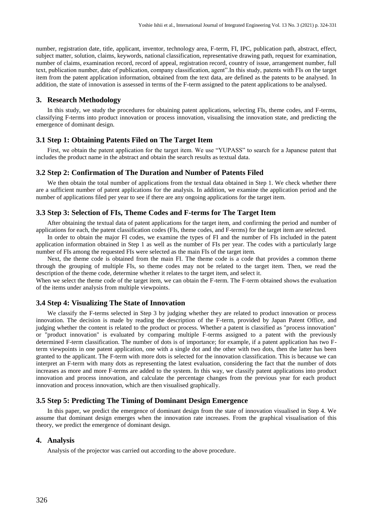number, registration date, title, applicant, inventor, technology area, F-term, FI, IPC, publication path, abstract, effect, subject matter, solution, claims, keywords, national classification, representative drawing path, request for examination, number of claims, examination record, record of appeal, registration record, country of issue, arrangement number, full text, publication number, date of publication, company classification, agent".In this study, patents with FIs on the target item from the patent application information, obtained from the text data, are defined as the patents to be analysed. In addition, the state of innovation is assessed in terms of the F-term assigned to the patent applications to be analysed.

#### **3. Research Methodology**

In this study, we study the procedures for obtaining patent applications, selecting FIs, theme codes, and F-terms, classifying F-terms into product innovation or process innovation, visualising the innovation state, and predicting the emergence of dominant design.

## **3.1 Step 1: Obtaining Patents Filed on The Target Item**

First, we obtain the patent application for the target item. We use "YUPASS" to search for a Japanese patent that includes the product name in the abstract and obtain the search results as textual data.

#### **3.2 Step 2: Confirmation of The Duration and Number of Patents Filed**

We then obtain the total number of applications from the textual data obtained in Step 1. We check whether there are a sufficient number of patent applications for the analysis. In addition, we examine the application period and the number of applications filed per year to see if there are any ongoing applications for the target item.

#### **3.3 Step 3: Selection of FIs, Theme Codes and F-terms for The Target Item**

After obtaining the textual data of patent applications for the target item, and confirming the period and number of applications for each, the patent classification codes (FIs, theme codes, and F-terms) for the target item are selected.

In order to obtain the major FI codes, we examine the types of FI and the number of FIs included in the patent application information obtained in Step 1 as well as the number of FIs per year. The codes with a particularly large number of FIs among the requested FIs were selected as the main FIs of the target item.

Next, the theme code is obtained from the main FI. The theme code is a code that provides a common theme through the grouping of multiple FIs, so theme codes may not be related to the target item. Then, we read the description of the theme code, determine whether it relates to the target item, and select it.

When we select the theme code of the target item, we can obtain the F-term. The F-term obtained shows the evaluation of the items under analysis from multiple viewpoints.

## **3.4 Step 4: Visualizing The State of Innovation**

We classify the F-terms selected in Step 3 by judging whether they are related to product innovation or process innovation. The decision is made by reading the description of the F-term, provided by Japan Patent Office, and judging whether the content is related to the product or process. Whether a patent is classified as "process innovation" or "product innovation" is evaluated by comparing multiple F-terms assigned to a patent with the previously determined F-term classification. The number of dots is of importance; for example, if a patent application has two Fterm viewpoints in one patent application, one with a single dot and the other with two dots, then the latter has been granted to the applicant. The F-term with more dots is selected for the innovation classification. This is because we can interpret an F-term with many dots as representing the latest evaluation, considering the fact that the number of dots increases as more and more F-terms are added to the system. In this way, we classify patent applications into product innovation and process innovation, and calculate the percentage changes from the previous year for each product innovation and process innovation, which are then visualised graphically.

## **3.5 Step 5: Predicting The Timing of Dominant Design Emergence**

In this paper, we predict the emergence of dominant design from the state of innovation visualised in Step 4. We assume that dominant design emerges when the innovation rate increases. From the graphical visualisation of this theory, we predict the emergence of dominant design.

## **4. Analysis**

Analysis of the projector was carried out according to the above procedure.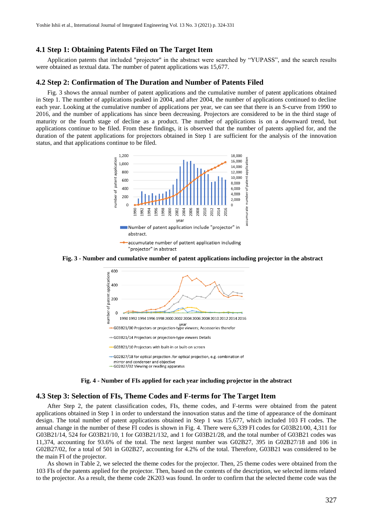## **4.1 Step 1: Obtaining Patents Filed on The Target Item**

Application patents that included "projector" in the abstract were searched by "YUPASS", and the search results were obtained as textual data. The number of patent applications was 15,677.

#### **4.2 Step 2: Confirmation of The Duration and Number of Patents Filed**

Fig. 3 shows the annual number of patent applications and the cumulative number of patent applications obtained in Step 1. The number of applications peaked in 2004, and after 2004, the number of applications continued to decline each year. Looking at the cumulative number of applications per year, we can see that there is an S-curve from 1990 to 2016, and the number of applications has since been decreasing. Projectors are considered to be in the third stage of maturity or the fourth stage of decline as a product. The number of applications is on a downward trend, but applications continue to be filed. From these findings, it is observed that the number of patents applied for, and the duration of the patent applications for projectors obtained in Step 1 are sufficient for the analysis of the innovation status, and that applications continue to be filed.



**Fig. 3 - Number and cumulative number of patent applications including projector in the abstract**







## **4.3 Step 3: Selection of FIs, Theme Codes and F-terms for The Target Item**

After Step 2, the patent classification codes, FIs, theme codes, and F-terms were obtained from the patent applications obtained in Step 1 in order to understand the innovation status and the time of appearance of the dominant design. The total number of patent applications obtained in Step 1 was 15,677, which included 103 FI codes. The annual change in the number of these FI codes is shown in Fig. 4. There were 6,339 FI codes for G03B21/00, 4,311 for G03B21/14, 524 for G03B21/10, 1 for G03B21/132, and 1 for G03B21/28, and the total number of G03B21 codes was 11,374, accounting for 93.6% of the total. The next largest number was G02B27, 395 in G02B27/18 and 106 in G02B27/02, for a total of 501 in G02B27, accounting for 4.2% of the total. Therefore, G03B21 was considered to be the main FI of the projector.

As shown in Table 2, we selected the theme codes for the projector. Then, 25 theme codes were obtained from the 103 FIs of the patents applied for the projector. Then, based on the contents of the description, we selected items related to the projector. As a result, the theme code 2K203 was found. In order to confirm that the selected theme code was the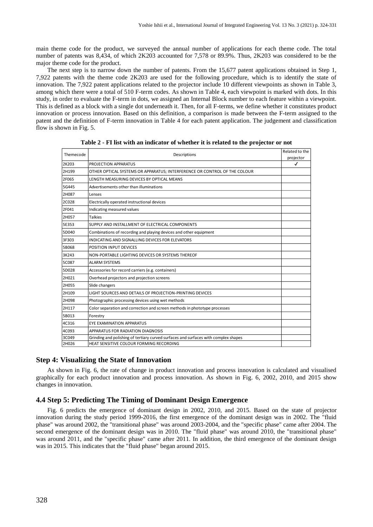main theme code for the product, we surveyed the annual number of applications for each theme code. The total number of patents was 8,434, of which 2K203 accounted for 7,578 or 89.9%. Thus, 2K203 was considered to be the major theme code for the product.

The next step is to narrow down the number of patents. From the 15,677 patent applications obtained in Step 1, 7,922 patents with the theme code 2K203 are used for the following procedure, which is to identify the state of innovation. The 7,922 patent applications related to the projector include 10 different viewpoints as shown in Table 3, among which there were a total of 510 F-term codes. As shown in Table 4, each viewpoint is marked with dots. In this study, in order to evaluate the F-term in dots, we assigned an Internal Block number to each feature within a viewpoint. This is defined as a block with a single dot underneath it. Then, for all F-terms, we define whether it constitutes product innovation or process innovation. Based on this definition, a comparison is made between the F-term assigned to the patent and the definition of F-term innovation in Table 4 for each patent application. The judgement and classification flow is shown in Fig. 5.

| Themecode | Descriptions                                                                        |                           |
|-----------|-------------------------------------------------------------------------------------|---------------------------|
| 2K203     | PROJECTION APPARATUS                                                                | projector<br>$\checkmark$ |
| 2H199     | OTHER OPTICAL SYSTEMS OR APPARATUS; INTERFERENCE OR CONTROL OF THE COLOUR           |                           |
| 2F065     | LENGTH MEASURING DEVICES BY OPTICAL MEANS                                           |                           |
| 5G445     | Advertisements other than illuminations                                             |                           |
| 2H087     | Lenses                                                                              |                           |
| 2C028     | Electrically operated instructional devices                                         |                           |
| 2F041     | Indicating measured values                                                          |                           |
| 2H057     | <b>Talkies</b>                                                                      |                           |
| 5E353     | SUPPLY AND INSTALLMENT OF ELECTRICAL COMPONENTS                                     |                           |
| 5D040     | Combinations of recording and playing devices and other equipment                   |                           |
| 3F303     | INDICATING AND SIGNALLING DEVICES FOR ELEVATORS                                     |                           |
| 5B068     | POSITION INPUT DEVICES                                                              |                           |
| 3K243     | NON-PORTABLE LIGHTING DEVICES OR SYSTEMS THEREOF                                    |                           |
| 5C087     | <b>ALARM SYSTEMS</b>                                                                |                           |
| 5D028     | Accessories for record carriers (e.g. containers)                                   |                           |
| 2H021     | Overhead projectors and projection screens                                          |                           |
| 2H055     | Slide changers                                                                      |                           |
| 2H109     | LIGHT SOURCES AND DETAILS OF PROJECTION-PRINTING DEVICES                            |                           |
| 2H098     | Photographic processing devices using wet methods                                   |                           |
| 2H117     | Color separation and correction and screen methods in phototype processes           |                           |
| 5B013     | Forestry                                                                            |                           |
| 4C316     | EYE EXAMINATION APPARATUS                                                           |                           |
| 4C093     | APPARATUS FOR RADIATION DIAGNOSIS                                                   |                           |
| 3C049     | Grinding and polishing of tertiary curved surfaces and surfaces with complex shapes |                           |
| 2H026     | HEAT SENSITIVE COLOUR FORMING RECORDING                                             |                           |

**Table 2 - FI list with an indicator of whether it is related to the projector or not**

## **Step 4: Visualizing the State of Innovation**

As shown in Fig. 6, the rate of change in product innovation and process innovation is calculated and visualised graphically for each product innovation and process innovation. As shown in Fig. 6, 2002, 2010, and 2015 show changes in innovation.

## **4.4 Step 5: Predicting The Timing of Dominant Design Emergence**

Fig. 6 predicts the emergence of dominant design in 2002, 2010, and 2015. Based on the state of projector innovation during the study period 1999-2016, the first emergence of the dominant design was in 2002. The "fluid phase" was around 2002, the "transitional phase" was around 2003-2004, and the "specific phase" came after 2004. The second emergence of the dominant design was in 2010. The "fluid phase" was around 2010, the "transitional phase" was around 2011, and the "specific phase" came after 2011. In addition, the third emergence of the dominant design was in 2015. This indicates that the "fluid phase" began around 2015.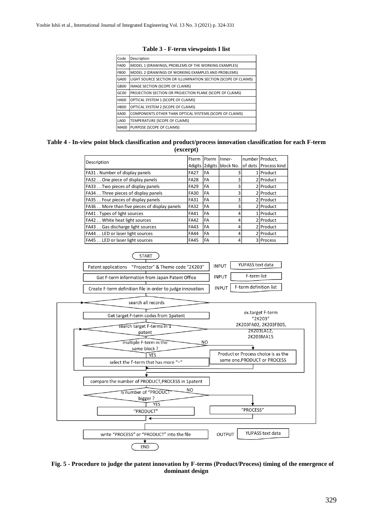| Code             | Description                                                    |
|------------------|----------------------------------------------------------------|
| <b>FA00</b>      | MODEL 1 (DRAWINGS, PROBLEMS OF THE WORKING EXAMPLES)           |
| FB <sub>00</sub> | MODEL 2 (DRAWINGS OF WORKING EXAMPLES AND PROBLEMS)            |
| GA00             | LIGHT SOURCE SECTION OR ILLUMINATION SECTION (SCOPE OF CLAIMS) |
| GB <sub>00</sub> | IMAGE SECTION (SCOPE OF CLAIMS)                                |
| GCOO             | PROJECTION SECTION OR PROJECTION PLANE (SCOPE OF CLAIMS)       |
| <b>HA00</b>      | OPTICAL SYSTEM 1 (SCOPE OF CLAIMS)                             |
| HB <sub>00</sub> | OPTICAL SYSTEM 2 (SCOPE OF CLAIMS)                             |
| KA00             | COMPONENTS OTHER THAN OPTICAL SYSTEMS (SCOPE OF CLAIMS)        |
| LA00             | TEMPERATURE (SCOPE OF CLAIMS)                                  |
| <b>MA00</b>      | PURPOSE (SCOPE OF CLAIMS)                                      |

## **Table 3 - F-term viewpoints I list**

## **Table 4 - In-view point block classification and product/process innovation classification for each F-term (excerpt)**

| Fterm<br>Description                         |             | <b>Fterm</b> | Inner-                    | number Product.      |
|----------------------------------------------|-------------|--------------|---------------------------|----------------------|
|                                              |             |              | 4digits 2digits block No. | of dots Process kind |
| FA31. Number of display panels               | <b>FA27</b> | FA           |                           | 1 Product            |
| FA32. One piece of display panels            | <b>FA28</b> | FA           | 3                         | 2 Product            |
| FA33 Two pieces of display panels            | <b>FA29</b> | FA           | 3                         | 2 Product            |
| FA34 Three pieces of display panels          | FA30        | FA           | 3                         | 2 Product            |
| FA35 Four pieces of display panels           | <b>FA31</b> | FA           | 3                         | 2 Product            |
| FA36 More than five pieces of display panels | <b>FA32</b> | FA           | 3                         | 2 Product            |
| FA41. Types of light sources                 | <b>FA41</b> | FA           | 4                         | 1 Product            |
| FA42. White heat light sources               | <b>FA42</b> | FA           | 4                         | 2 Product            |
| FA43 Gas discharge light sources             | <b>FA43</b> | <b>FA</b>    |                           | 2 Product            |
| FA44 LED or laser light sources              | <b>FA44</b> | FA           | 4                         | 2 Product            |
| FA45 LED or laser light sources              | <b>FA45</b> | <b>FA</b>    | 4                         | 3 Process            |





**Fig. 5 - Procedure to judge the patent innovation by F-terms (Product/Process) timing of the emergence of dominant design**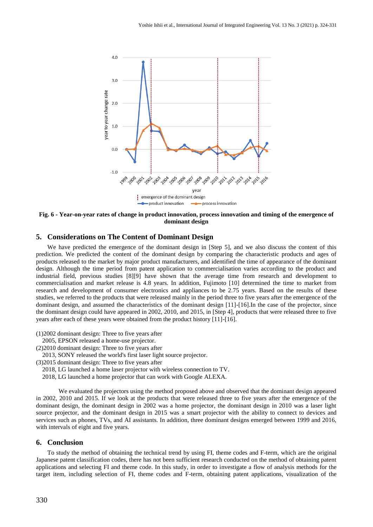

**Fig. 6 - Year-on-year rates of change in product innovation, process innovation and timing of the emergence of dominant design**

## **5. Considerations on The Content of Dominant Design**

We have predicted the emergence of the dominant design in [Step 5], and we also discuss the content of this prediction. We predicted the content of the dominant design by comparing the characteristic products and ages of products released to the market by major product manufacturers, and identified the time of appearance of the dominant design. Although the time period from patent application to commercialisation varies according to the product and industrial field, previous studies [8][9] have shown that the average time from research and development to commercialisation and market release is 4.8 years. In addition, Fujimoto [10] determined the time to market from research and development of consumer electronics and appliances to be 2.75 years. Based on the results of these studies, we referred to the products that were released mainly in the period three to five years after the emergence of the dominant design, and assumed the characteristics of the dominant design [11]-[16].In the case of the projector, since the dominant design could have appeared in 2002, 2010, and 2015, in [Step 4], products that were released three to five years after each of these years were obtained from the product history [11]-[16].

(1)2002 dominant design: Three to five years after

- 2005, EPSON released a home-use projector.
- (2)2010 dominant design: Three to five years after
- 2013, SONY released the world's first laser light source projector.
- (3)2015 dominant design: Three to five years after
	- 2018, LG launched a home laser projector with wireless connection to TV.
	- 2018, LG launched a home projector that can work with Google ALEXA.

We evaluated the projectors using the method proposed above and observed that the dominant design appeared in 2002, 2010 and 2015. If we look at the products that were released three to five years after the emergence of the dominant design, the dominant design in 2002 was a home projector, the dominant design in 2010 was a laser light source projector, and the dominant design in 2015 was a smart projector with the ability to connect to devices and services such as phones, TVs, and AI assistants. In addition, three dominant designs emerged between 1999 and 2016, with intervals of eight and five years.

#### **6. Conclusion**

To study the method of obtaining the technical trend by using FI, theme codes and F-term, which are the original Japanese patent classification codes, there has not been sufficient research conducted on the method of obtaining patent applications and selecting FI and theme code. In this study, in order to investigate a flow of analysis methods for the target item, including selection of FI, theme codes and F-term, obtaining patent applications, visualization of the